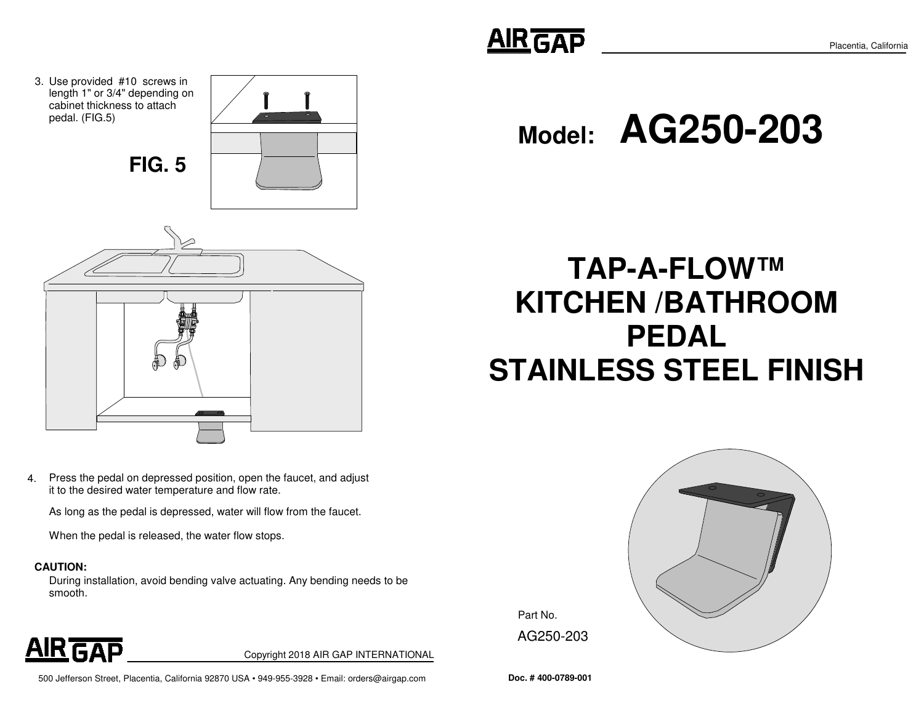**Model:AG250-203**

# **TAP-A-FLOW™ KITCHEN /BATHROOMPEDALSTAINLESS STEEL FINISH**







AG250-203

**AIR GAP** 



3. Use provided #10 screws in

4. Press the pedal on depressed position, open the faucet, and adjust it to the desired water temperature and flow rate.

As long as the pedal is depressed, water will flow from the faucet.

When the pedal is released, the water flow stops.

#### **CAUTION:**

During installation, avoid bending valve actuating. Any bending needs to be smooth.

**AIR GAP** 

Copyright 2018 AIR GAP INTERNATIONAL

500 Jefferson Street, Placentia, California 92870 USA • 949-955-3928 • Email: orders@airgap.com **Doc. # 400-0789-001**